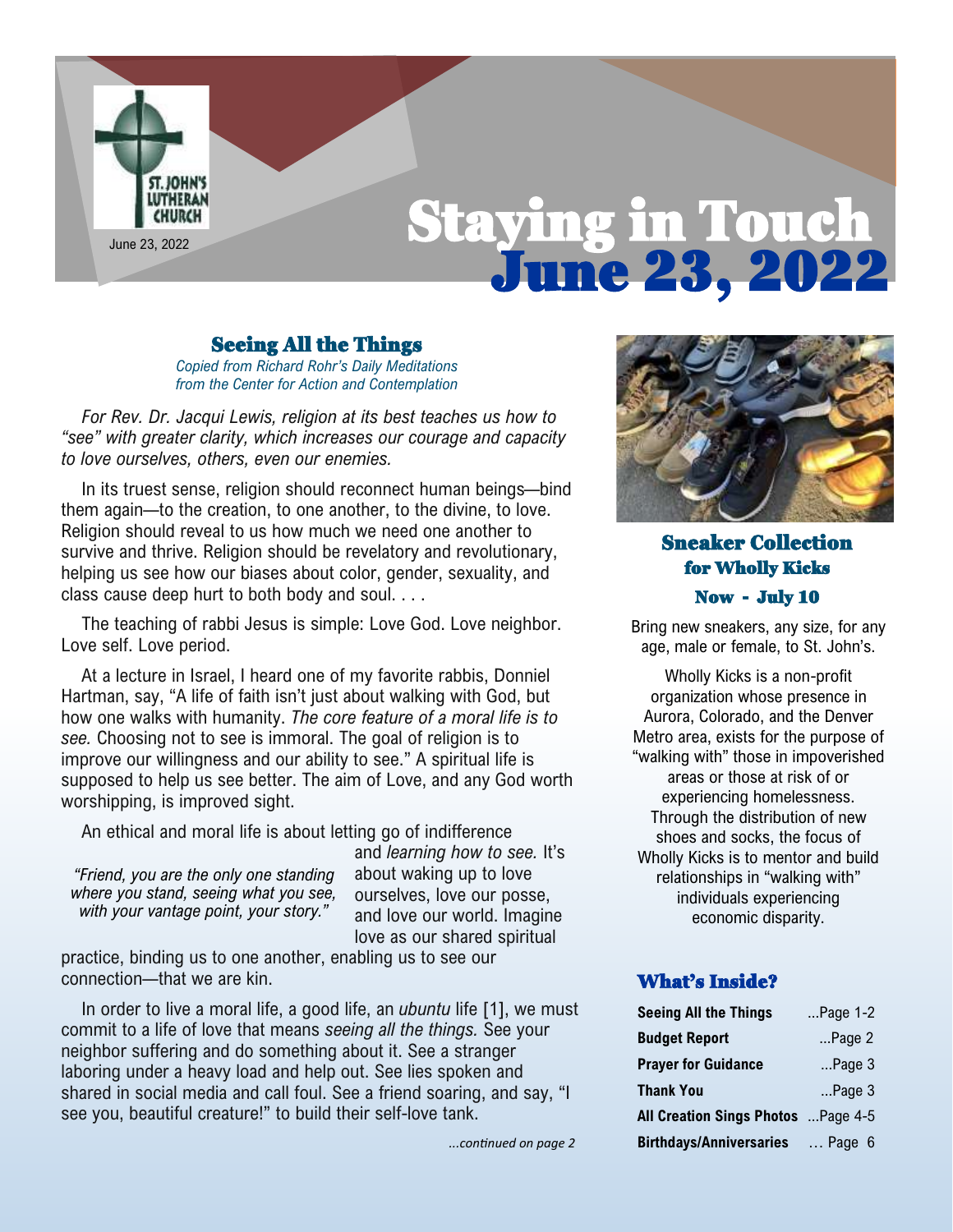

## Seeing All the Things

*Copied from Richard Rohr's Daily Meditations from the Center for Action and Contemplation*

*For Rev. Dr. Jacqui Lewis, religion at its best teaches us how to "see" with greater clarity, which increases our courage and capacity to love ourselves, others, even our enemies.*

In its truest sense, religion should reconnect human beings—bind them again—to the creation, to one another, to the divine, to love. Religion should reveal to us how much we need one another to survive and thrive. Religion should be revelatory and revolutionary, helping us see how our biases about color, gender, sexuality, and class cause deep hurt to both body and soul. . . .

The teaching of rabbi Jesus is simple: Love God. Love neighbor. Love self. Love period.

At a lecture in Israel, I heard one of my favorite rabbis, Donniel Hartman, say, "A life of faith isn't just about walking with God, but how one walks with humanity. *The core feature of a moral life is to see.* Choosing not to see is immoral. The goal of religion is to improve our willingness and our ability to see." A spiritual life is supposed to help us see better. The aim of Love, and any God worth worshipping, is improved sight.

An ethical and moral life is about letting go of indifference

*"Friend, you are the only one standing where you stand, seeing what you see, with your vantage point, your story."*

and *learning how to see.* It's about waking up to love ourselves, love our posse, and love our world. Imagine love as our shared spiritual

practice, binding us to one another, enabling us to see our connection—that we are kin.

In order to live a moral life, a good life, an *ubuntu* life [1], we must commit to a life of love that means *seeing all the things.* See your neighbor suffering and do something about it. See a stranger laboring under a heavy load and help out. See lies spoken and shared in social media and call foul. See a friend soaring, and say, "I see you, beautiful creature!" to build their self-love tank.

*...continued on page 2*



# Sneaker Collection for Wholly Kicks Now - July 10

Bring new sneakers, any size, for any age, male or female, to St. John's.

Wholly Kicks is a non-profit organization whose presence in Aurora, Colorado, and the Denver Metro area, exists for the purpose of "walking with" those in impoverished areas or those at risk of or experiencing homelessness. Through the distribution of new shoes and socks, the focus of Wholly Kicks is to mentor and build relationships in "walking with" individuals experiencing economic disparity.

### What's Inside?

| <b>Seeing All the Things</b>        | Page $1-2$      |
|-------------------------------------|-----------------|
| <b>Budget Report</b>                | $$ Page $2$     |
| <b>Prayer for Guidance</b>          | $$ Page 3       |
| <b>Thank You</b>                    | $$ Page $3$     |
| All Creation Sings Photos  Page 4-5 |                 |
| <b>Birthdays/Anniversaries</b>      | $\ldots$ Page 6 |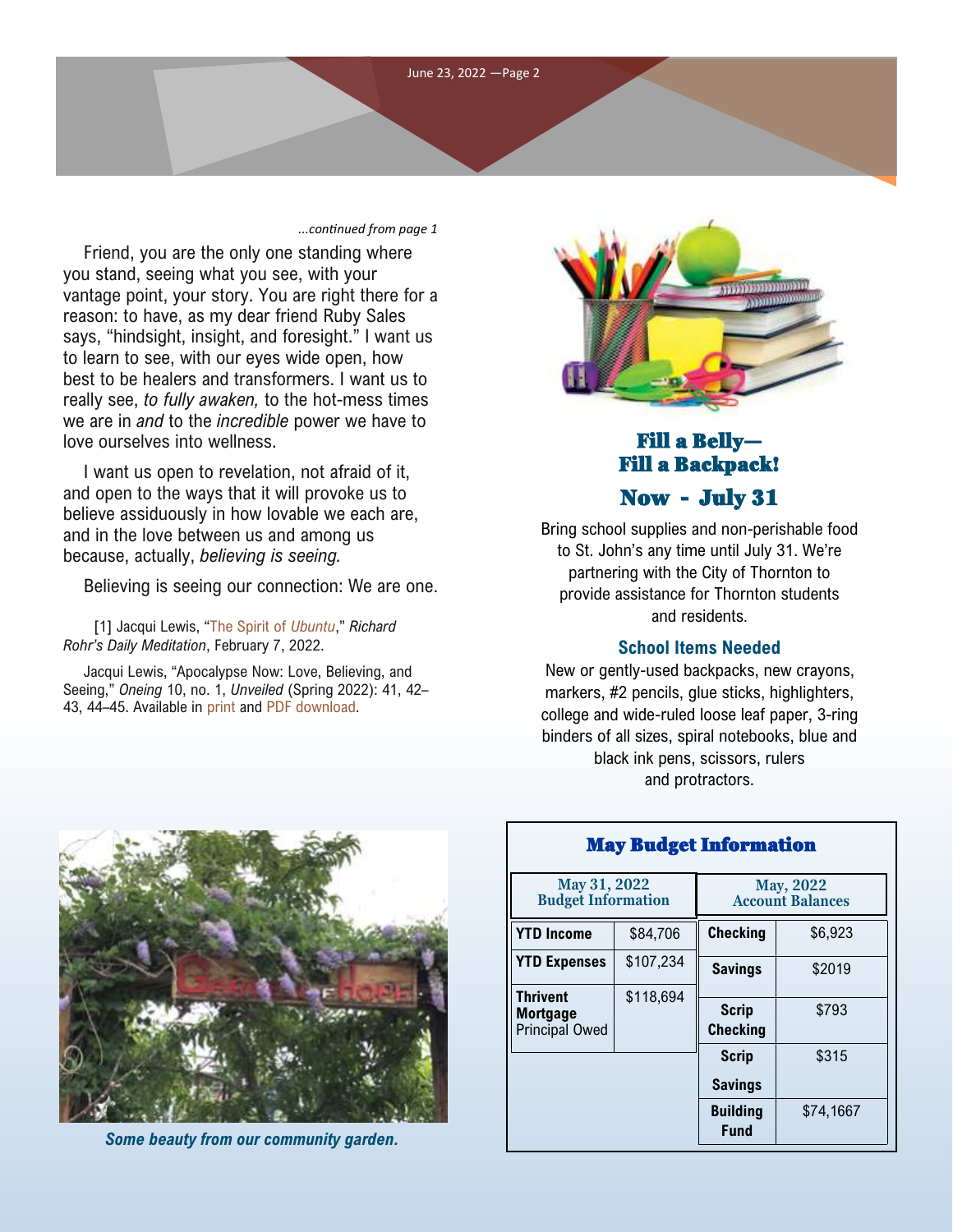

#### *...continued from page 1*

Friend, you are the only one standing where you stand, seeing what you see, with your vantage point, your story. You are right there for a reason: to have, as my dear friend Ruby Sales says, "hindsight, insight, and foresight." I want us to learn to see, with our eyes wide open, how best to be healers and transformers. I want us to really see, *to fully awaken,* to the hot-mess times we are in *and* to the *incredible* power we have to love ourselves into wellness.

I want us open to revelation, not afraid of it, and open to the ways that it will provoke us to believe assiduously in how lovable we each are, and in the love between us and among us because, actually, *believing is seeing.*

Believing is seeing our connection: We are one.

 [1] Jacqui Lewis, "[The Spirit of](https://email.cac.org/t/d-l-ftrdrlt-tridjtydtl-r/) *Ubuntu*," *Richard Rohr's Daily Meditation*, February 7, 2022.

Jacqui Lewis, "Apocalypse Now: Love, Believing, and Seeing," *Oneing* 10, no. 1, *Unveiled* (Spring 2022): 41, 42– 43, 44–45. Available in [print](https://email.cac.org/t/d-l-ftrdrlt-tridjtydtl-y/) and [PDF download.](https://email.cac.org/t/d-l-ftrdrlt-tridjtydtl-j/)



# Fill a Belly— Fill a Backpack! Now - July 31

Bring school supplies and non-perishable food to St. John's any time until July 31. We're partnering with the City of Thornton to provide assistance for Thornton students and residents.

#### **School Items Needed**

New or gently-used backpacks, new crayons, markers, #2 pencils, glue sticks, highlighters, college and wide-ruled loose leaf paper, 3-ring binders of all sizes, spiral notebooks, blue and black ink pens, scissors, rulers and protractors.



*Some beauty from our community garden.*

| many munget manon mutuum                                    |           |                                             |           |  |
|-------------------------------------------------------------|-----------|---------------------------------------------|-----------|--|
| May 31, 2022<br><b>Budget Information</b>                   |           | <b>May, 2022</b><br><b>Account Balances</b> |           |  |
| <b>YTD Income</b>                                           | \$84,706  | <b>Checking</b>                             | \$6,923   |  |
| <b>YTD Expenses</b>                                         | \$107,234 | <b>Savings</b>                              | \$2019    |  |
| <b>Thrivent</b><br><b>Mortgage</b><br><b>Principal Owed</b> | \$118,694 | <b>Scrip</b><br><b>Checking</b>             | \$793     |  |
|                                                             |           | <b>Scrip</b><br><b>Savings</b>              | \$315     |  |
|                                                             |           | <b>Building</b><br><b>Fund</b>              | \$74,1667 |  |

# May Budget Information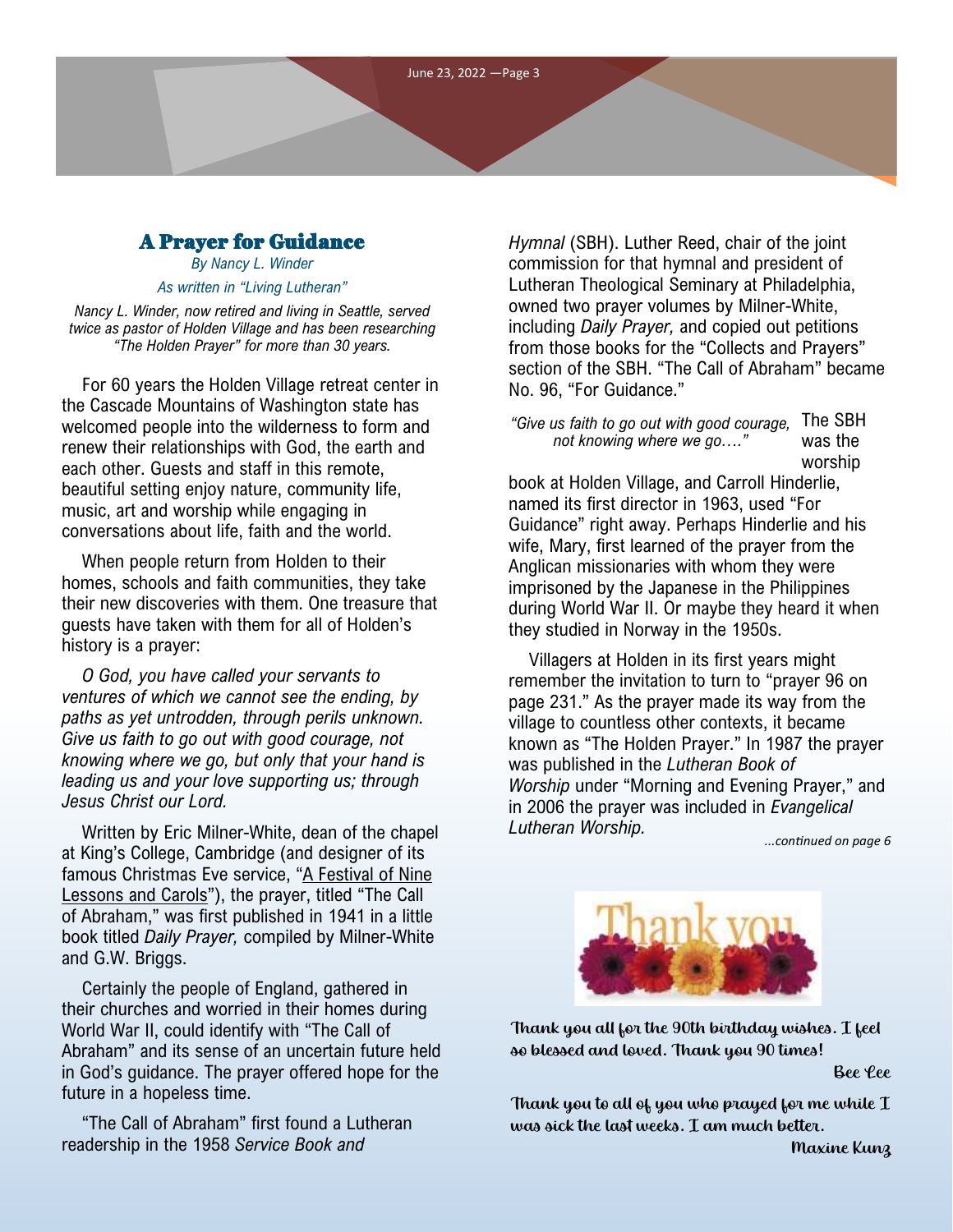# A Prayer for Guidance

*By Nancy L. Winder As written in "Living Lutheran"*

*Nancy L. Winder, now retired and living in Seattle, served twice as pastor of Holden Village and has been researching "The Holden Prayer" for more than 30 years.* 

For 60 years the [Holden Village retreat center](https://holdenvillage.org/) in the Cascade Mountains of Washington state has welcomed people into the wilderness to form and renew their relationships with God, the earth and each other. Guests and staff in this remote, beautiful setting enjoy nature, community life, music, art and worship while engaging in conversations about life, faith and the world.

When people return from Holden to their homes, schools and faith communities, they take their new discoveries with them. One treasure that guests have taken with them for all of Holden's history is a prayer:

*O God, you have called your servants to ventures of which we cannot see the ending, by paths as yet untrodden, through perils unknown. Give us faith to go out with good courage, not knowing where we go, but only that your hand is leading us and your love supporting us; through Jesus Christ our Lord.*

Written by Eric Milner-White, dean of the chapel at King's College, Cambridge (and designer of its famous Christmas Eve service, "[A Festival of Nine](https://www.kings.cam.ac.uk/chapel/a-festival-of-nine-lessons-and-carols)  [Lessons and Carols"\)](https://www.kings.cam.ac.uk/chapel/a-festival-of-nine-lessons-and-carols), the prayer, titled "The Call of Abraham," was first published in 1941 in a little book titled *Daily Prayer,* compiled by Milner-White and G.W. Briggs.

Certainly the people of England, gathered in their churches and worried in their homes during World War II, could identify with "The Call of Abraham" and its sense of an uncertain future held in God's guidance. The prayer offered hope for the future in a hopeless time.

"The Call of Abraham" first found a Lutheran readership in the 1958 *Service Book and* 

*Hymnal* (SBH). Luther Reed, chair of the joint commission for that hymnal and president of Lutheran Theological Seminary at Philadelphia, owned two prayer volumes by Milner-White, including *Daily Prayer,* and copied out petitions from those books for the "Collects and Prayers" section of the SBH. "The Call of Abraham" became No. 96, "For Guidance."

"Give us faith to go out with good courage, The SBH was the worship *not knowing where we go…."*

book at Holden Village, and Carroll Hinderlie, named its first director in 1963, used "For Guidance" right away. Perhaps Hinderlie and his wife, Mary, first learned of the prayer from the Anglican missionaries with whom they were imprisoned by the Japanese in the Philippines during World War II. Or maybe they heard it when they studied in Norway in the 1950s.

Villagers at Holden in its first years might remember the invitation to turn to "prayer 96 on page 231." As the prayer made its way from the village to countless other contexts, it became known as "The Holden Prayer." In 1987 the prayer was published in the *Lutheran Book of Worship* under "Morning and Evening Prayer," and in 2006 the prayer was included in *Evangelical Lutheran Worship.*

*...continued on page 6*



Thank you all for the 90th birthday wishes. I feel so blessed and loved. Thank you 90 times!

Bee Lee

Thank you to all of you who prayed for me while I was sick the last weeks. I am much better.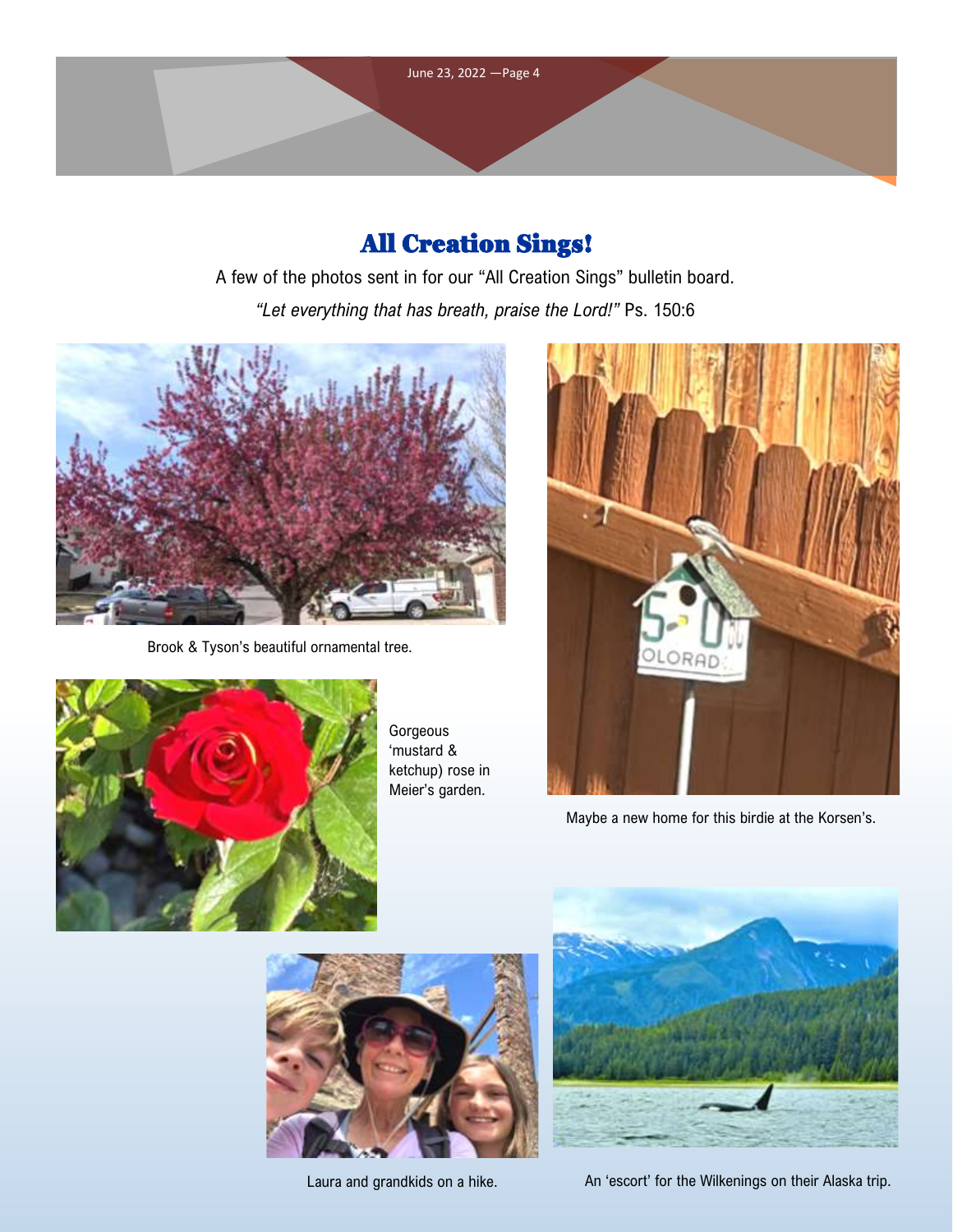

# All Creation Sings!

A few of the photos sent in for our "All Creation Sings" bulletin board. *"Let everything that has breath, praise the Lord!"* Ps. 150:6



Brook & Tyson's beautiful ornamental tree.



Gorgeous 'mustard & ketchup) rose in Meier's garden.



Maybe a new home for this birdie at the Korsen's.



Laura and grandkids on a hike.



An 'escort' for the Wilkenings on their Alaska trip.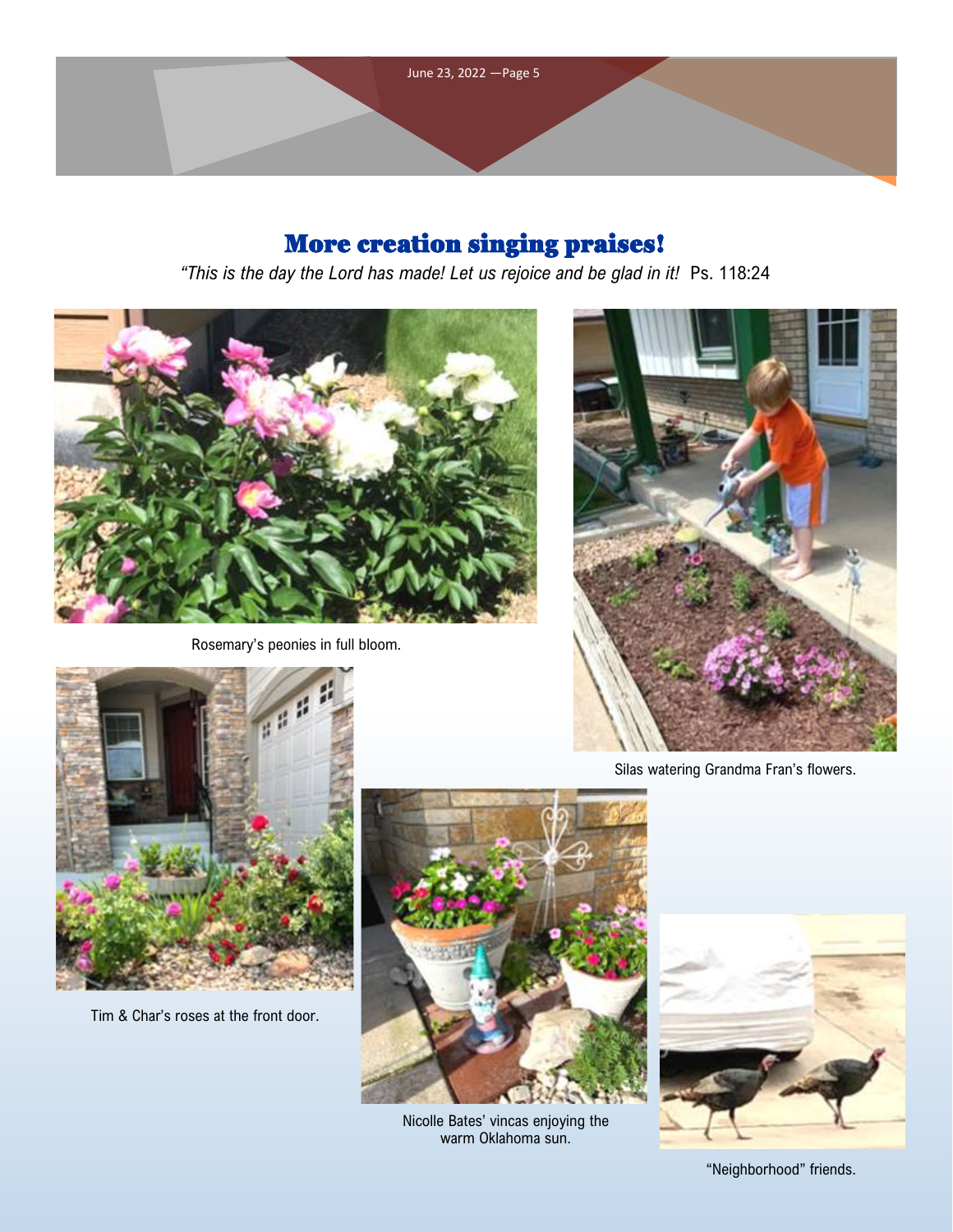

# More creation singing praises!

*"This is the day the Lord has made! Let us rejoice and be glad in it!* Ps. 118:24



Rosemary's peonies in full bloom.



Silas watering Grandma Fran's flowers.



Tim & Char's roses at the front door.



Nicolle Bates' vincas enjoying the warm Oklahoma sun.



"Neighborhood" friends.